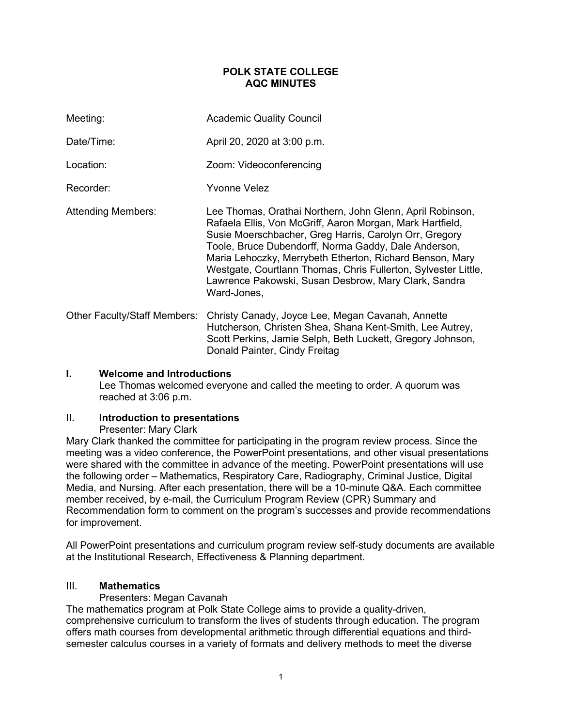### **POLK STATE COLLEGE AQC MINUTES**

| Meeting:                            | <b>Academic Quality Council</b>                                                                                                                                                                                                                                                                                                                                                                                                               |
|-------------------------------------|-----------------------------------------------------------------------------------------------------------------------------------------------------------------------------------------------------------------------------------------------------------------------------------------------------------------------------------------------------------------------------------------------------------------------------------------------|
| Date/Time:                          | April 20, 2020 at 3:00 p.m.                                                                                                                                                                                                                                                                                                                                                                                                                   |
| Location:                           | Zoom: Videoconferencing                                                                                                                                                                                                                                                                                                                                                                                                                       |
| Recorder:                           | <b>Yvonne Velez</b>                                                                                                                                                                                                                                                                                                                                                                                                                           |
| <b>Attending Members:</b>           | Lee Thomas, Orathai Northern, John Glenn, April Robinson,<br>Rafaela Ellis, Von McGriff, Aaron Morgan, Mark Hartfield,<br>Susie Moerschbacher, Greg Harris, Carolyn Orr, Gregory<br>Toole, Bruce Dubendorff, Norma Gaddy, Dale Anderson,<br>Maria Lehoczky, Merrybeth Etherton, Richard Benson, Mary<br>Westgate, Courtlann Thomas, Chris Fullerton, Sylvester Little,<br>Lawrence Pakowski, Susan Desbrow, Mary Clark, Sandra<br>Ward-Jones, |
| <b>Other Faculty/Staff Members:</b> | Christy Canady, Joyce Lee, Megan Cavanah, Annette<br>Hutcherson, Christen Shea, Shana Kent-Smith, Lee Autrey,<br>Scott Perkins, Jamie Selph, Beth Luckett, Gregory Johnson,                                                                                                                                                                                                                                                                   |

## **I. Welcome and Introductions**

Lee Thomas welcomed everyone and called the meeting to order. A quorum was reached at 3:06 p.m.

Donald Painter, Cindy Freitag

#### II. **Introduction to presentations**

#### Presenter: Mary Clark

Mary Clark thanked the committee for participating in the program review process. Since the meeting was a video conference, the PowerPoint presentations, and other visual presentations were shared with the committee in advance of the meeting. PowerPoint presentations will use the following order – Mathematics, Respiratory Care, Radiography, Criminal Justice, Digital Media, and Nursing. After each presentation, there will be a 10-minute Q&A. Each committee member received, by e-mail, the Curriculum Program Review (CPR) Summary and Recommendation form to comment on the program's successes and provide recommendations for improvement.

All PowerPoint presentations and curriculum program review self-study documents are available at the Institutional Research, Effectiveness & Planning department.

## III. **Mathematics**

#### Presenters: Megan Cavanah

The mathematics program at Polk State College aims to provide a quality-driven, comprehensive curriculum to transform the lives of students through education. The program offers math courses from developmental arithmetic through differential equations and thirdsemester calculus courses in a variety of formats and delivery methods to meet the diverse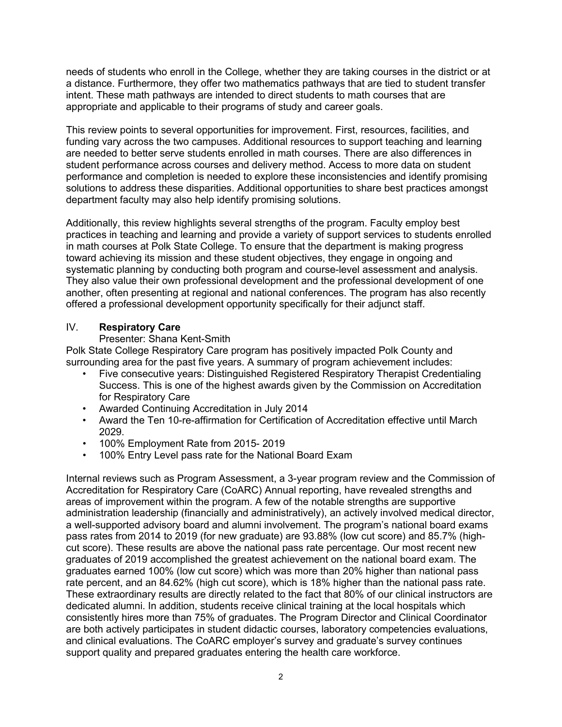needs of students who enroll in the College, whether they are taking courses in the district or at a distance. Furthermore, they offer two mathematics pathways that are tied to student transfer intent. These math pathways are intended to direct students to math courses that are appropriate and applicable to their programs of study and career goals.

This review points to several opportunities for improvement. First, resources, facilities, and funding vary across the two campuses. Additional resources to support teaching and learning are needed to better serve students enrolled in math courses. There are also differences in student performance across courses and delivery method. Access to more data on student performance and completion is needed to explore these inconsistencies and identify promising solutions to address these disparities. Additional opportunities to share best practices amongst department faculty may also help identify promising solutions.

Additionally, this review highlights several strengths of the program. Faculty employ best practices in teaching and learning and provide a variety of support services to students enrolled in math courses at Polk State College. To ensure that the department is making progress toward achieving its mission and these student objectives, they engage in ongoing and systematic planning by conducting both program and course-level assessment and analysis. They also value their own professional development and the professional development of one another, often presenting at regional and national conferences. The program has also recently offered a professional development opportunity specifically for their adjunct staff.

## IV. **Respiratory Care**

#### Presenter: Shana Kent-Smith

Polk State College Respiratory Care program has positively impacted Polk County and surrounding area for the past five years. A summary of program achievement includes:

- Five consecutive years: Distinguished Registered Respiratory Therapist Credentialing Success. This is one of the highest awards given by the Commission on Accreditation for Respiratory Care
- Awarded Continuing Accreditation in July 2014
- Award the Ten 10-re-affirmation for Certification of Accreditation effective until March 2029.
- 100% Employment Rate from 2015- 2019
- 100% Entry Level pass rate for the National Board Exam

Internal reviews such as Program Assessment, a 3-year program review and the Commission of Accreditation for Respiratory Care (CoARC) Annual reporting, have revealed strengths and areas of improvement within the program. A few of the notable strengths are supportive administration leadership (financially and administratively), an actively involved medical director, a well-supported advisory board and alumni involvement. The program's national board exams pass rates from 2014 to 2019 (for new graduate) are 93.88% (low cut score) and 85.7% (highcut score). These results are above the national pass rate percentage. Our most recent new graduates of 2019 accomplished the greatest achievement on the national board exam. The graduates earned 100% (low cut score) which was more than 20% higher than national pass rate percent, and an 84.62% (high cut score), which is 18% higher than the national pass rate. These extraordinary results are directly related to the fact that 80% of our clinical instructors are dedicated alumni. In addition, students receive clinical training at the local hospitals which consistently hires more than 75% of graduates. The Program Director and Clinical Coordinator are both actively participates in student didactic courses, laboratory competencies evaluations, and clinical evaluations. The CoARC employer's survey and graduate's survey continues support quality and prepared graduates entering the health care workforce.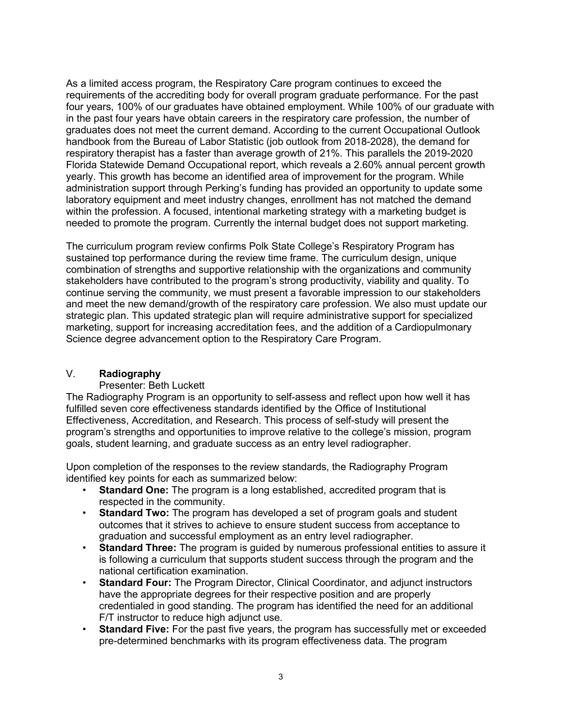As a limited access program, the Respiratory Care program continues to exceed the requirements of the accrediting body for overall program graduate performance. For the past four years, 100% of our graduates have obtained employment. While 100% of our graduate with in the past four years have obtain careers in the respiratory care profession, the number of graduates does not meet the current demand. According to the current Occupational Outlook handbook from the Bureau of Labor Statistic (job outlook from 2018-2028), the demand for respiratory therapist has a faster than average growth of 21%. This parallels the 2019-2020 Florida Statewide Demand Occupational report, which reveals a 2.60% annual percent growth yearly. This growth has become an identified area of improvement for the program. While administration support through Perking's funding has provided an opportunity to update some laboratory equipment and meet industry changes, enrollment has not matched the demand within the profession. A focused, intentional marketing strategy with a marketing budget is needed to promote the program. Currently the internal budget does not support marketing.

The curriculum program review confirms Polk State College's Respiratory Program has sustained top performance during the review time frame. The curriculum design, unique combination of strengths and supportive relationship with the organizations and community stakeholders have contributed to the program's strong productivity, viability and quality. To continue serving the community, we must present a favorable impression to our stakeholders and meet the new demand/growth of the respiratory care profession. We also must update our strategic plan. This updated strategic plan will require administrative support for specialized marketing, support for increasing accreditation fees, and the addition of a Cardiopulmonary Science degree advancement option to the Respiratory Care Program.

## V. **Radiography**

#### Presenter: Beth Luckett

The Radiography Program is an opportunity to self-assess and reflect upon how well it has fulfilled seven core effectiveness standards identified by the Office of Institutional Effectiveness, Accreditation, and Research. This process of self-study will present the program's strengths and opportunities to improve relative to the college's mission, program goals, student learning, and graduate success as an entry level radiographer.

Upon completion of the responses to the review standards, the Radiography Program identified key points for each as summarized below:

- **Standard One:** The program is a long established, accredited program that is respected in the community.
- **Standard Two:** The program has developed a set of program goals and student outcomes that it strives to achieve to ensure student success from acceptance to graduation and successful employment as an entry level radiographer.
- **Standard Three:** The program is guided by numerous professional entities to assure it is following a curriculum that supports student success through the program and the national certification examination.
- **Standard Four:** The Program Director, Clinical Coordinator, and adjunct instructors have the appropriate degrees for their respective position and are properly credentialed in good standing. The program has identified the need for an additional F/T instructor to reduce high adjunct use.
- **Standard Five:** For the past five years, the program has successfully met or exceeded pre-determined benchmarks with its program effectiveness data. The program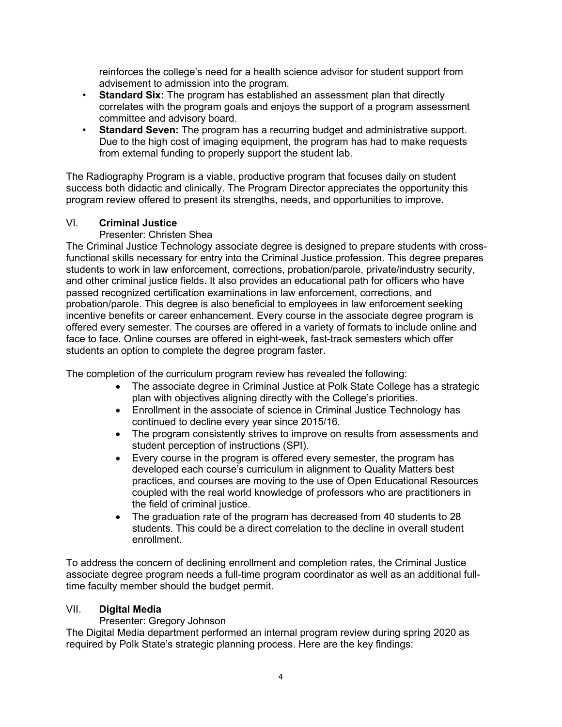reinforces the college's need for a health science advisor for student support from advisement to admission into the program.

- **Standard Six:** The program has established an assessment plan that directly correlates with the program goals and enjoys the support of a program assessment committee and advisory board.
- **Standard Seven:** The program has a recurring budget and administrative support. Due to the high cost of imaging equipment, the program has had to make requests from external funding to properly support the student lab.

The Radiography Program is a viable, productive program that focuses daily on student success both didactic and clinically. The Program Director appreciates the opportunity this program review offered to present its strengths, needs, and opportunities to improve.

# VI. **Criminal Justice**

# Presenter: Christen Shea

The Criminal Justice Technology associate degree is designed to prepare students with crossfunctional skills necessary for entry into the Criminal Justice profession. This degree prepares students to work in law enforcement, corrections, probation/parole, private/industry security, and other criminal justice fields. It also provides an educational path for officers who have passed recognized certification examinations in law enforcement, corrections, and probation/parole. This degree is also beneficial to employees in law enforcement seeking incentive benefits or career enhancement. Every course in the associate degree program is offered every semester. The courses are offered in a variety of formats to include online and face to face. Online courses are offered in eight-week, fast-track semesters which offer students an option to complete the degree program faster.

The completion of the curriculum program review has revealed the following:

- The associate degree in Criminal Justice at Polk State College has a strategic plan with objectives aligning directly with the College's priorities.
- Enrollment in the associate of science in Criminal Justice Technology has continued to decline every year since 2015/16.
- The program consistently strives to improve on results from assessments and student perception of instructions (SPI).
- Every course in the program is offered every semester, the program has developed each course's curriculum in alignment to Quality Matters best practices, and courses are moving to the use of Open Educational Resources coupled with the real world knowledge of professors who are practitioners in the field of criminal justice.
- The graduation rate of the program has decreased from 40 students to 28 students. This could be a direct correlation to the decline in overall student enrollment.

To address the concern of declining enrollment and completion rates, the Criminal Justice associate degree program needs a full-time program coordinator as well as an additional fulltime faculty member should the budget permit.

## VII. **Digital Media**

Presenter: Gregory Johnson

The Digital Media department performed an internal program review during spring 2020 as required by Polk State's strategic planning process. Here are the key findings: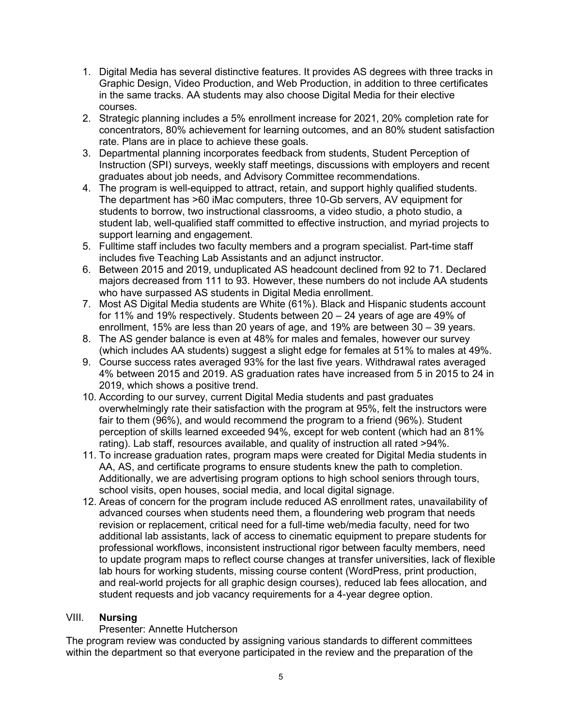- 1. Digital Media has several distinctive features. It provides AS degrees with three tracks in Graphic Design, Video Production, and Web Production, in addition to three certificates in the same tracks. AA students may also choose Digital Media for their elective courses.
- 2. Strategic planning includes a 5% enrollment increase for 2021, 20% completion rate for concentrators, 80% achievement for learning outcomes, and an 80% student satisfaction rate. Plans are in place to achieve these goals.
- 3. Departmental planning incorporates feedback from students, Student Perception of Instruction (SPI) surveys, weekly staff meetings, discussions with employers and recent graduates about job needs, and Advisory Committee recommendations.
- 4. The program is well-equipped to attract, retain, and support highly qualified students. The department has >60 iMac computers, three 10-Gb servers, AV equipment for students to borrow, two instructional classrooms, a video studio, a photo studio, a student lab, well-qualified staff committed to effective instruction, and myriad projects to support learning and engagement.
- 5. Fulltime staff includes two faculty members and a program specialist. Part-time staff includes five Teaching Lab Assistants and an adjunct instructor.
- 6. Between 2015 and 2019, unduplicated AS headcount declined from 92 to 71. Declared majors decreased from 111 to 93. However, these numbers do not include AA students who have surpassed AS students in Digital Media enrollment.
- 7. Most AS Digital Media students are White (61%). Black and Hispanic students account for 11% and 19% respectively. Students between 20 – 24 years of age are 49% of enrollment, 15% are less than 20 years of age, and 19% are between 30 – 39 years.
- 8. The AS gender balance is even at 48% for males and females, however our survey (which includes AA students) suggest a slight edge for females at 51% to males at 49%.
- 9. Course success rates averaged 93% for the last five years. Withdrawal rates averaged 4% between 2015 and 2019. AS graduation rates have increased from 5 in 2015 to 24 in 2019, which shows a positive trend.
- 10. According to our survey, current Digital Media students and past graduates overwhelmingly rate their satisfaction with the program at 95%, felt the instructors were fair to them (96%), and would recommend the program to a friend (96%). Student perception of skills learned exceeded 94%, except for web content (which had an 81% rating). Lab staff, resources available, and quality of instruction all rated >94%.
- 11. To increase graduation rates, program maps were created for Digital Media students in AA, AS, and certificate programs to ensure students knew the path to completion. Additionally, we are advertising program options to high school seniors through tours, school visits, open houses, social media, and local digital signage.
- 12. Areas of concern for the program include reduced AS enrollment rates, unavailability of advanced courses when students need them, a floundering web program that needs revision or replacement, critical need for a full-time web/media faculty, need for two additional lab assistants, lack of access to cinematic equipment to prepare students for professional workflows, inconsistent instructional rigor between faculty members, need to update program maps to reflect course changes at transfer universities, lack of flexible lab hours for working students, missing course content (WordPress, print production, and real-world projects for all graphic design courses), reduced lab fees allocation, and student requests and job vacancy requirements for a 4-year degree option.

# VIII. **Nursing**

## Presenter: Annette Hutcherson

The program review was conducted by assigning various standards to different committees within the department so that everyone participated in the review and the preparation of the